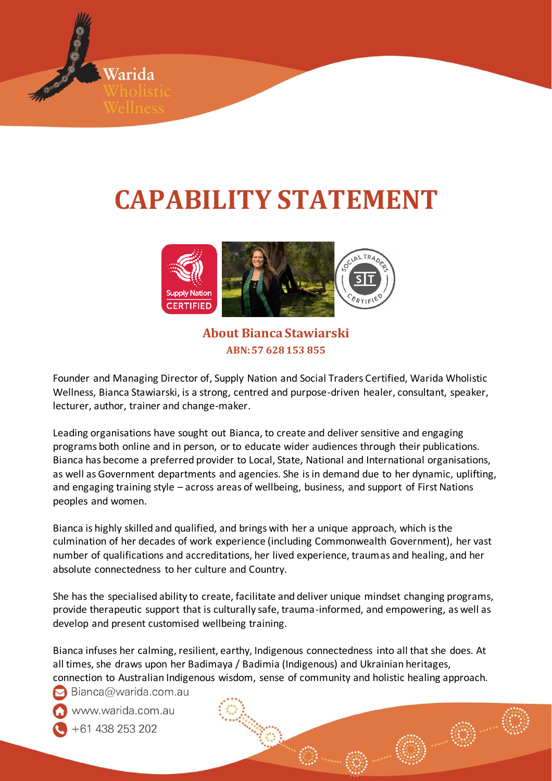

# **CAPABILITY STATEMENT**



**About Bianca Stawiarski ABN: 57 628 153 855**

Founder and Managing Director of, Supply Nation and Social Traders Certified, Warida Wholistic Wellness, Bianca Stawiarski, is a strong, centred and purpose-driven healer, consultant, speaker, lecturer, author, trainer and change-maker.

Leading organisations have sought out Bianca, to create and deliver sensitive and engaging programs both online and in person, or to educate wider audiences through their publications. Bianca has become a preferred provider to Local, State, National and International organisations, as well as Government departments and agencies. She is in demand due to her dynamic, uplifting, and engaging training style – across areas of wellbeing, business, and support of First Nations peoples and women.

Bianca is highly skilled and qualified, and brings with her a unique approach, which is the culmination of her decades of work experience (including Commonwealth Government), her vast number of qualifications and accreditations, her lived experience, traumas and healing, and her absolute connectedness to her culture and Country.

She has the specialised ability to create, facilitate and deliver unique mindset changing programs, provide therapeutic support that is culturally safe, trauma-informed, and empowering, as well as develop and present customised wellbeing training.

Bianca infuses her calming, resilient, earthy, Indigenous connectedness into all that she does. At all times, she draws upon her Badimaya / Badimia (Indigenous) and Ukrainian heritages, connection to Australian Indigenous wisdom, sense of community and holistic healing approach.

 $\triangleright$  Bianca@warida.com.au

www.warida.com.au

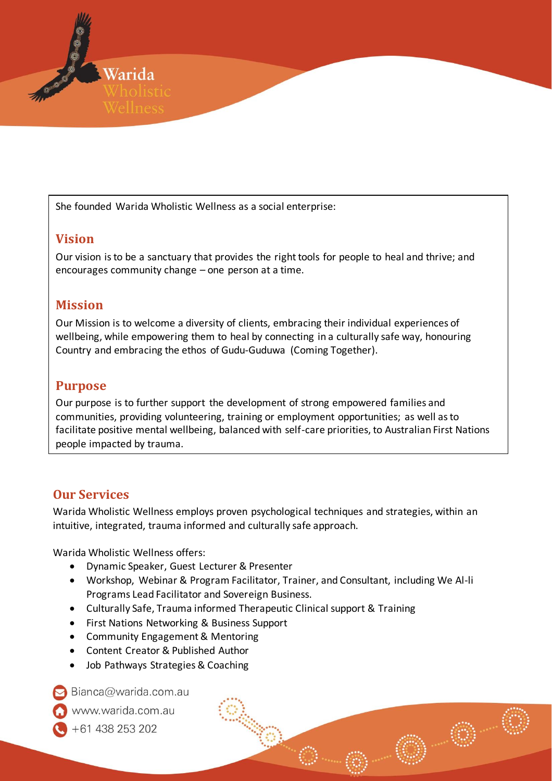

She founded Warida Wholistic Wellness as a social enterprise:

### **Vision**

Our vision is to be a sanctuary that provides the right tools for people to heal and thrive; and encourages community change – one person at a time.

### **Mission**

Our Mission is to welcome a diversity of clients, embracing their individual experiences of wellbeing, while empowering them to heal by connecting in a culturally safe way, honouring Country and embracing the ethos of Gudu-Guduwa (Coming Together).

### **Purpose**

Our purpose is to further support the development of strong empowered families and communities, providing volunteering, training or employment opportunities; as well as to facilitate positive mental wellbeing, balanced with self-care priorities, to Australian First Nations people impacted by trauma.

### **Our Services**

Warida Wholistic Wellness employs proven psychological techniques and strategies, within an intuitive, integrated, trauma informed and culturally safe approach.

Warida Wholistic Wellness offers:

- Dynamic Speaker, Guest Lecturer & Presenter
- Workshop, Webinar & Program Facilitator, Trainer, and Consultant, including We Al-li Programs Lead Facilitator and Sovereign Business.
- Culturally Safe, Trauma informed Therapeutic Clinical support & Training
- First Nations Networking & Business Support
- Community Engagement & Mentoring
- Content Creator & Published Author
- Job Pathways Strategies & Coaching

Bianca@warida.com.au

vww.warida.com.au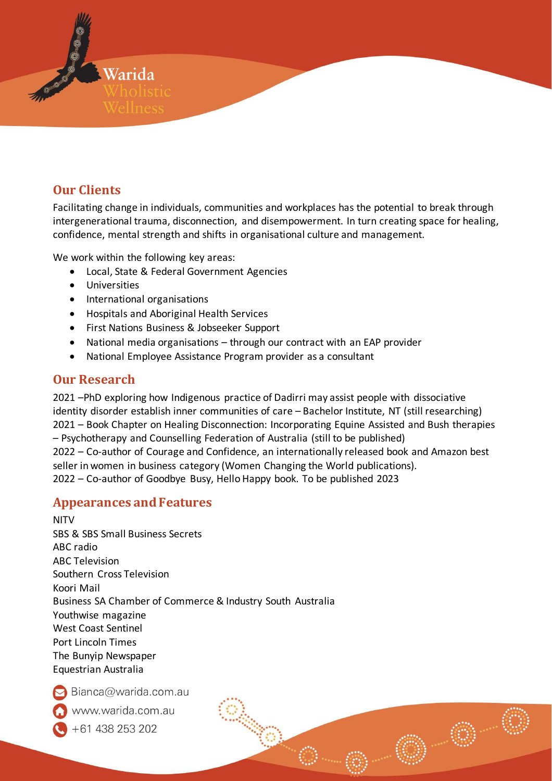

# **Our Clients**

Facilitating change in individuals, communities and workplaces has the potential to break through intergenerational trauma, disconnection, and disempowerment. In turn creating space for healing, confidence, mental strength and shifts in organisational culture and management.

We work within the following key areas:

- Local, State & Federal Government Agencies
- Universities
- International organisations
- Hospitals and Aboriginal Health Services
- First Nations Business & Jobseeker Support
- National media organisations through our contract with an EAP provider
- National Employee Assistance Program provider as a consultant

### **Our Research**

2021 –PhD exploring how Indigenous practice of Dadirri may assist people with dissociative identity disorder establish inner communities of care – Bachelor Institute, NT (still researching) 2021 – Book Chapter on Healing Disconnection: Incorporating Equine Assisted and Bush therapies – Psychotherapy and Counselling Federation of Australia (still to be published) 2022 – Co-author of Courage and Confidence, an internationally released book and Amazon best seller in women in business category (Women Changing the World publications). 2022 – Co-author of Goodbye Busy, Hello Happy book. To be published 2023

#### **Appearances and Features**

NITV SBS & SBS Small Business Secrets ABC radio ABC Television Southern Cross Television Koori Mail Business SA Chamber of Commerce & Industry South Australia Youthwise magazine West Coast Sentinel Port Lincoln Times The Bunyip Newspaper Equestrian Australia

Bianca@warida.com.au

www.warida.com.au

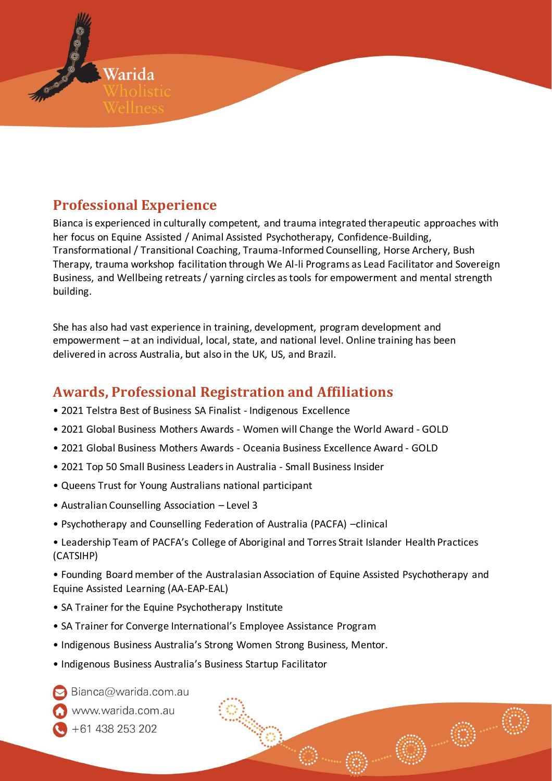

# **Professional Experience**

Bianca is experienced in culturally competent, and trauma integrated therapeutic approaches with her focus on Equine Assisted / Animal Assisted Psychotherapy, Confidence-Building, Transformational / Transitional Coaching, Trauma-Informed Counselling, Horse Archery, Bush Therapy, trauma workshop facilitation through We Al-li Programs as Lead Facilitator and Sovereign Business, and Wellbeing retreats / yarning circles as tools for empowerment and mental strength building.

She has also had vast experience in training, development, program development and empowerment – at an individual, local, state, and national level. Online training has been delivered in across Australia, but also in the UK, US, and Brazil.

# **Awards, Professional Registration and Affiliations**

- 2021 Telstra Best of Business SA Finalist Indigenous Excellence
- 2021 Global Business Mothers Awards Women will Change the World Award GOLD
- 2021 Global Business Mothers Awards Oceania Business Excellence Award GOLD
- 2021 Top 50 Small Business Leaders in Australia Small Business Insider
- Queens Trust for Young Australians national participant
- Australian Counselling Association Level 3
- Psychotherapy and Counselling Federation of Australia (PACFA) –clinical
- Leadership Team of PACFA's College of Aboriginal and Torres Strait Islander Health Practices (CATSIHP)

• Founding Board member of the Australasian Association of Equine Assisted Psychotherapy and Equine Assisted Learning (AA-EAP-EAL)

- SA Trainer for the Equine Psychotherapy Institute
- SA Trainer for Converge International's Employee Assistance Program
- Indigenous Business Australia's Strong Women Strong Business, Mentor.
- Indigenous Business Australia's Business Startup Facilitator
- Bianca@warida.com.au
- vww.warida.com.au
- +61 438 253 202
	-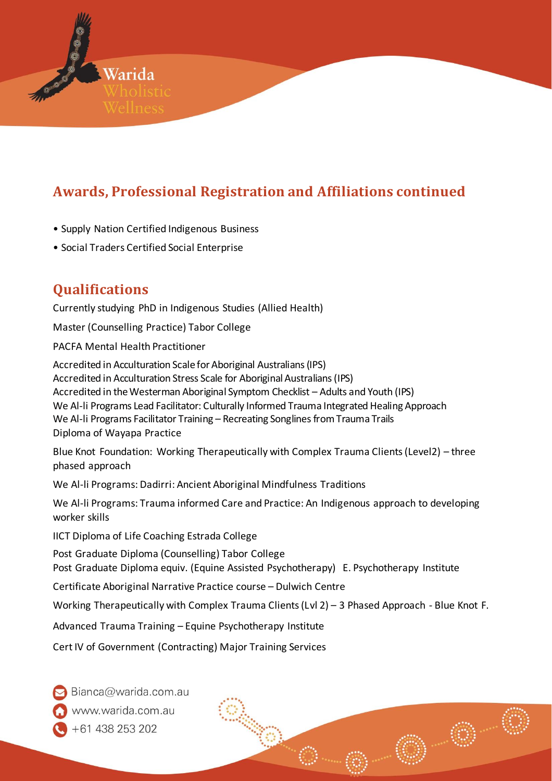

# **Awards, Professional Registration and Affiliations continued**

- Supply Nation Certified Indigenous Business
- Social Traders Certified Social Enterprise

# **Qualifications**

Currently studying PhD in Indigenous Studies (Allied Health)

Master (Counselling Practice) Tabor College

PACFA Mental Health Practitioner

Accredited in Acculturation Scale for Aboriginal Australians (IPS) Accredited in Acculturation Stress Scale for Aboriginal Australians (IPS) Accredited in the Westerman Aboriginal Symptom Checklist – Adults and Youth (IPS) We Al-li Programs Lead Facilitator: Culturally Informed Trauma Integrated Healing Approach We Al-li Programs Facilitator Training – Recreating Songlines from Trauma Trails Diploma of Wayapa Practice

Blue Knot Foundation: Working Therapeutically with Complex Trauma Clients (Level2) – three phased approach

We Al-li Programs: Dadirri: Ancient Aboriginal Mindfulness Traditions

We Al-li Programs: Trauma informed Care and Practice: An Indigenous approach to developing worker skills

IICT Diploma of Life Coaching Estrada College

Post Graduate Diploma (Counselling) Tabor College Post Graduate Diploma equiv. (Equine Assisted Psychotherapy) E. Psychotherapy Institute

Certificate Aboriginal Narrative Practice course – Dulwich Centre

Working Therapeutically with Complex Trauma Clients (Lvl 2) – 3 Phased Approach - Blue Knot F.

Advanced Trauma Training – Equine Psychotherapy Institute

Cert IV of Government (Contracting) Major Training Services

Bianca@warida.com.au

vww.warida.com.au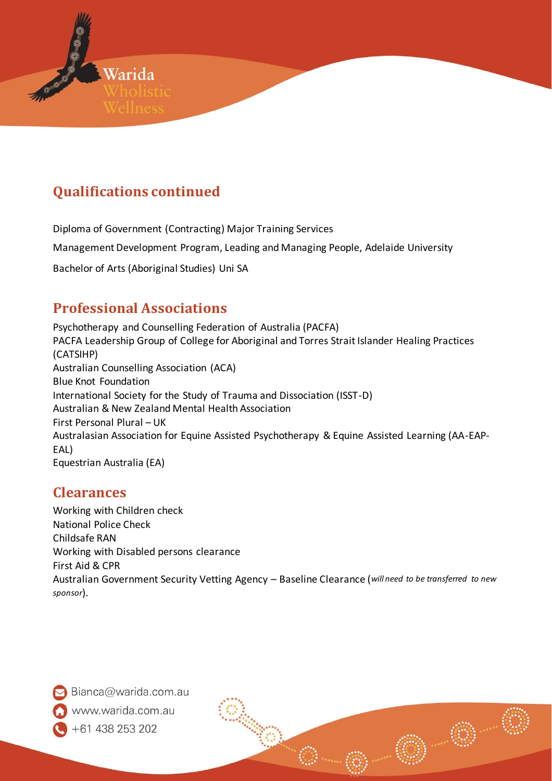

# **Qualifications continued**

Diploma of Government (Contracting) Major Training Services

Management Development Program, Leading and Managing People, Adelaide University

Bachelor of Arts (Aboriginal Studies) Uni SA

# **Professional Associations**

Psychotherapy and Counselling Federation of Australia (PACFA) PACFA Leadership Group of College for Aboriginal and Torres Strait Islander Healing Practices (CATSIHP) Australian Counselling Association (ACA) Blue Knot Foundation International Society for the Study of Trauma and Dissociation (ISST-D) Australian & New Zealand Mental Health Association First Personal Plural – UK Australasian Association for Equine Assisted Psychotherapy & Equine Assisted Learning (AA-EAP-EAL) Equestrian Australia (EA)

# **Clearances**

Working with Children check National Police Check Childsafe RAN Working with Disabled persons clearance First Aid & CPR Australian Government Security Vetting Agency – Baseline Clearance (*will need to be transferred to new sponsor*).

Bianca@warida.com.au vww.warida.com.au +61 438 253 202

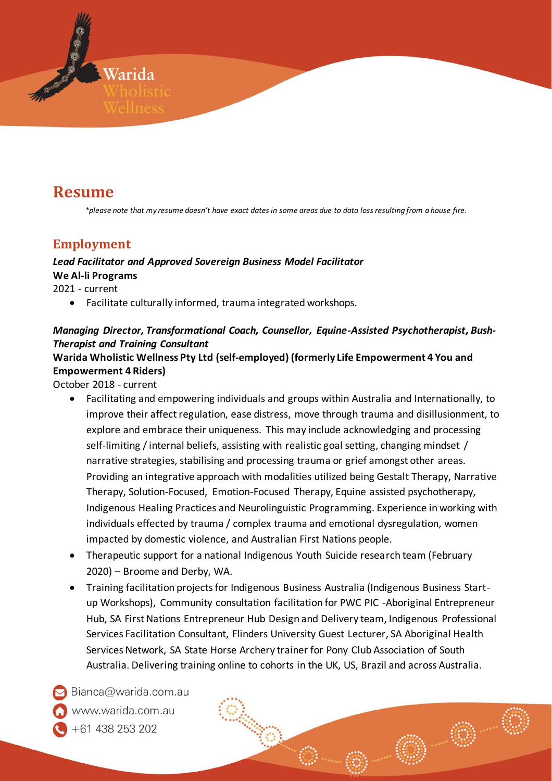

# **Resume**

*\*please note that my resume doesn't have exact dates in some areas due to data loss resulting from a house fire.*

### **Employment**

#### *Lead Facilitator and Approved Sovereign Business Model Facilitator* **We Al-li Programs**

2021 - current

• Facilitate culturally informed, trauma integrated workshops.

#### *Managing Director, Transformational Coach, Counsellor, Equine-Assisted Psychotherapist, Bush-Therapist and Training Consultant*

#### **Warida Wholistic Wellness Pty Ltd (self-employed) (formerly Life Empowerment 4 You and Empowerment 4 Riders)**

October 2018 - current

- Facilitating and empowering individuals and groups within Australia and Internationally, to improve their affect regulation, ease distress, move through trauma and disillusionment, to explore and embrace their uniqueness. This may include acknowledging and processing self-limiting / internal beliefs, assisting with realistic goal setting, changing mindset / narrative strategies, stabilising and processing trauma or grief amongst other areas. Providing an integrative approach with modalities utilized being Gestalt Therapy, Narrative Therapy, Solution-Focused, Emotion-Focused Therapy, Equine assisted psychotherapy, Indigenous Healing Practices and Neurolinguistic Programming. Experience in working with individuals effected by trauma / complex trauma and emotional dysregulation, women impacted by domestic violence, and Australian First Nations people.
- Therapeutic support for a national Indigenous Youth Suicide research team (February 2020) – Broome and Derby, WA.
- Training facilitation projects for Indigenous Business Australia (Indigenous Business Startup Workshops), Community consultation facilitation for PWC PIC -Aboriginal Entrepreneur Hub, SA First Nations Entrepreneur Hub Design and Delivery team, Indigenous Professional Services Facilitation Consultant, Flinders University Guest Lecturer, SA Aboriginal Health Services Network, SA State Horse Archery trainer for Pony Club Association of South Australia. Delivering training online to cohorts in the UK, US, Brazil and across Australia.

Bianca@warida.com.au vww.warida.com.au -61 438 253 202

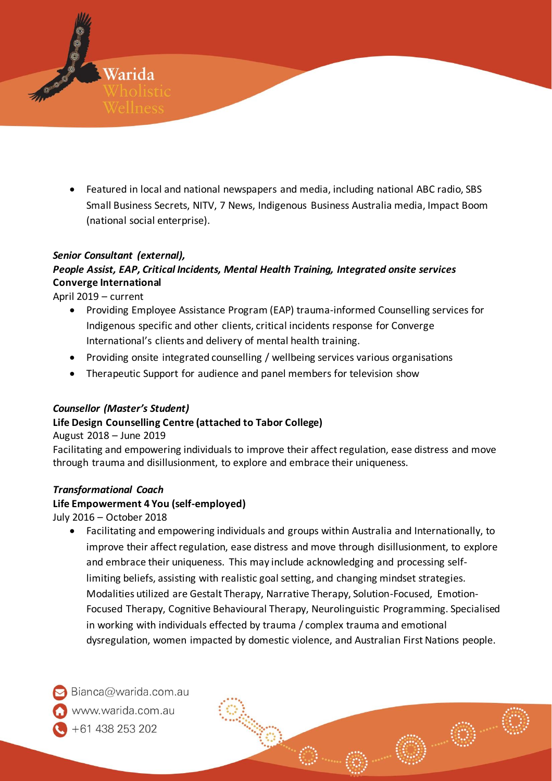• Featured in local and national newspapers and media, including national ABC radio, SBS Small Business Secrets, NITV, 7 News, Indigenous Business Australia media, Impact Boom

#### *Senior Consultant (external),*

Warida

(national social enterprise).

#### *People Assist, EAP, Critical Incidents, Mental Health Training, Integrated onsite services* **Converge International**

April 2019 – current

- Providing Employee Assistance Program (EAP) trauma-informed Counselling services for Indigenous specific and other clients, critical incidents response for Converge International's clients and delivery of mental health training.
- Providing onsite integrated counselling / wellbeing services various organisations
- Therapeutic Support for audience and panel members for television show

#### *Counsellor (Master's Student)*

#### **Life Design Counselling Centre (attached to Tabor College)**

August 2018 – June 2019

Facilitating and empowering individuals to improve their affect regulation, ease distress and move through trauma and disillusionment, to explore and embrace their uniqueness.

#### *Transformational Coach*

#### **Life Empowerment 4 You (self-employed)**

July 2016 – October 2018

• Facilitating and empowering individuals and groups within Australia and Internationally, to improve their affect regulation, ease distress and move through disillusionment, to explore and embrace their uniqueness. This may include acknowledging and processing selflimiting beliefs, assisting with realistic goal setting, and changing mindset strategies. Modalities utilized are Gestalt Therapy, Narrative Therapy, Solution-Focused, Emotion-Focused Therapy, Cognitive Behavioural Therapy, Neurolinguistic Programming. Specialised in working with individuals effected by trauma / complex trauma and emotional dysregulation, women impacted by domestic violence, and Australian First Nations people.

Bianca@warida.com.au vww.warida.com.au +61 438 253 202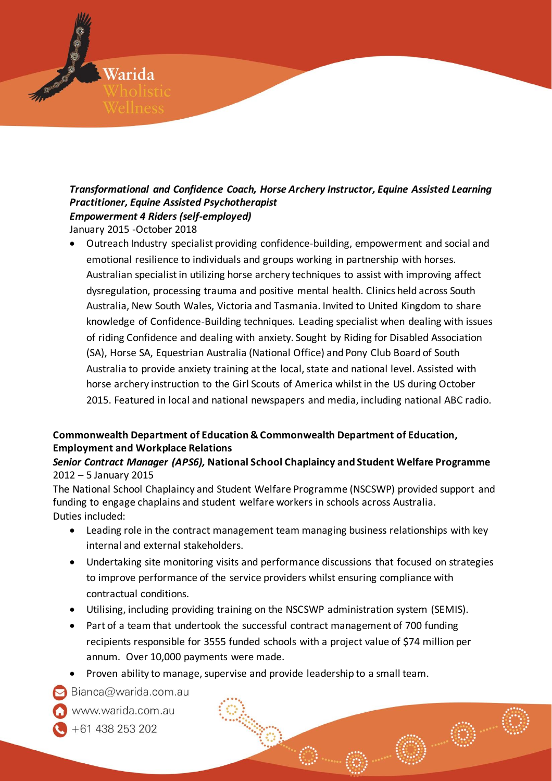

### *Transformational and Confidence Coach, Horse Archery Instructor, Equine Assisted Learning Practitioner, Equine Assisted Psychotherapist Empowerment 4 Riders (self-employed)*

January 2015 -October 2018

• Outreach Industry specialist providing confidence-building, empowerment and social and emotional resilience to individuals and groups working in partnership with horses. Australian specialist in utilizing horse archery techniques to assist with improving affect dysregulation, processing trauma and positive mental health. Clinics held across South Australia, New South Wales, Victoria and Tasmania. Invited to United Kingdom to share knowledge of Confidence-Building techniques. Leading specialist when dealing with issues of riding Confidence and dealing with anxiety. Sought by Riding for Disabled Association (SA), Horse SA, Equestrian Australia (National Office) and Pony Club Board of South Australia to provide anxiety training at the local, state and national level. Assisted with horse archery instruction to the Girl Scouts of America whilst in the US during October 2015. Featured in local and national newspapers and media, including national ABC radio.

#### **Commonwealth Department of Education & Commonwealth Department of Education, Employment and Workplace Relations**

#### *Senior Contract Manager (APS6),* **National School Chaplaincy and Student Welfare Programme**  2012 – 5 January 2015

The National School Chaplaincy and Student Welfare Programme (NSCSWP) provided support and funding to engage chaplains and student welfare workers in schools across Australia. Duties included:

- Leading role in the contract management team managing business relationships with key internal and external stakeholders.
- Undertaking site monitoring visits and performance discussions that focused on strategies to improve performance of the service providers whilst ensuring compliance with contractual conditions.
- Utilising, including providing training on the NSCSWP administration system (SEMIS).
- Part of a team that undertook the successful contract management of 700 funding recipients responsible for 3555 funded schools with a project value of \$74 million per annum. Over 10,000 payments were made.
- Proven ability to manage, supervise and provide leadership to a small team.
- Bianca@warida.com.au
- vww.warida.com.au
- -61 438 253 202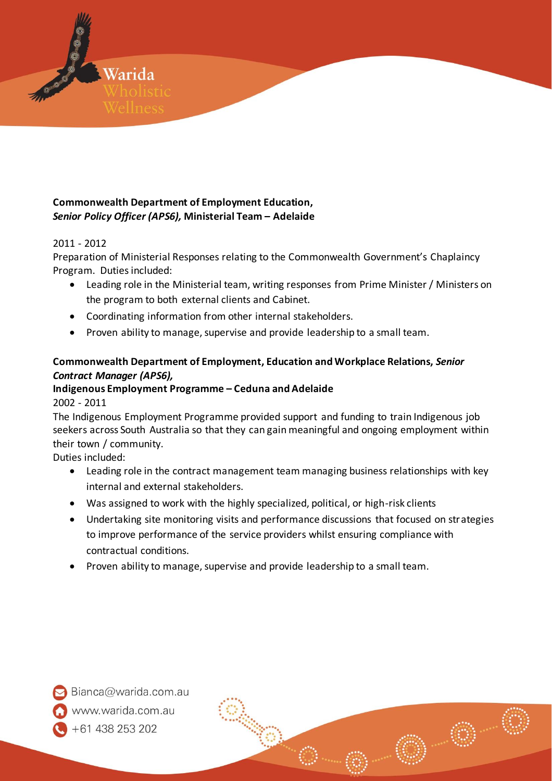#### **Commonwealth Department of Employment Education,**  *Senior Policy Officer (APS6),* **Ministerial Team – Adelaide**

#### 2011 - 2012

Warida

Preparation of Ministerial Responses relating to the Commonwealth Government's Chaplaincy Program. Duties included:

- Leading role in the Ministerial team, writing responses from Prime Minister / Ministers on the program to both external clients and Cabinet.
- Coordinating information from other internal stakeholders.
- Proven ability to manage, supervise and provide leadership to a small team.

#### **Commonwealth Department of Employment, Education and Workplace Relations,** *Senior Contract Manager (APS6),*

### **Indigenous Employment Programme – Ceduna and Adelaide**

#### 2002 - 2011

The Indigenous Employment Programme provided support and funding to train Indigenous job seekers across South Australia so that they can gain meaningful and ongoing employment within their town / community.

Duties included:

- Leading role in the contract management team managing business relationships with key internal and external stakeholders.
- Was assigned to work with the highly specialized, political, or high-risk clients
- Undertaking site monitoring visits and performance discussions that focused on strategies to improve performance of the service providers whilst ensuring compliance with contractual conditions.
- Proven ability to manage, supervise and provide leadership to a small team.



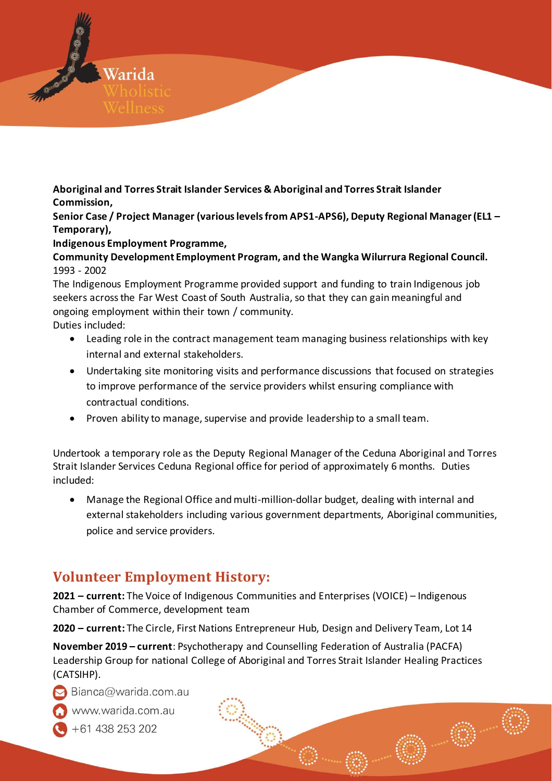

**Aboriginal and Torres Strait Islander Services & Aboriginal and Torres Strait Islander Commission,** 

**Senior Case / Project Manager (various levels from APS1-APS6), Deputy Regional Manager (EL1 – Temporary),** 

**Indigenous Employment Programme,** 

**Community Development Employment Program, and the Wangka Wilurrura Regional Council.** 1993 - 2002

The Indigenous Employment Programme provided support and funding to train Indigenous job seekers across the Far West Coast of South Australia, so that they can gain meaningful and ongoing employment within their town / community.

Duties included:

- Leading role in the contract management team managing business relationships with key internal and external stakeholders.
- Undertaking site monitoring visits and performance discussions that focused on strategies to improve performance of the service providers whilst ensuring compliance with contractual conditions.
- Proven ability to manage, supervise and provide leadership to a small team.

Undertook a temporary role as the Deputy Regional Manager of the Ceduna Aboriginal and Torres Strait Islander Services Ceduna Regional office for period of approximately 6 months. Duties included:

• Manage the Regional Office and multi-million-dollar budget, dealing with internal and external stakeholders including various government departments, Aboriginal communities, police and service providers.

# **Volunteer Employment History:**

**2021 – current:** The Voice of Indigenous Communities and Enterprises (VOICE) – Indigenous Chamber of Commerce, development team

**2020 – current:** The Circle, First Nations Entrepreneur Hub, Design and Delivery Team, Lot 14

**November 2019 – current**: Psychotherapy and Counselling Federation of Australia (PACFA) Leadership Group for national College of Aboriginal and Torres Strait Islander Healing Practices (CATSIHP).

 $\triangleright$  Bianca@warida.com.au

www.warida.com.au